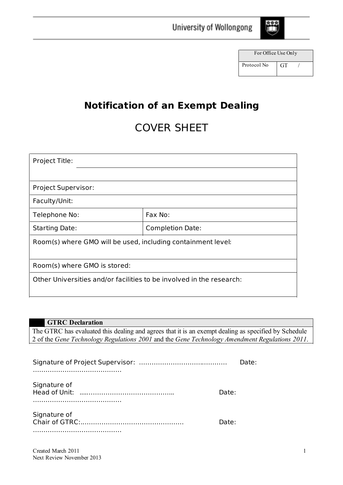

| For Office Use Only |           |  |
|---------------------|-----------|--|
| Protocol No         | <b>GT</b> |  |

# **Notification of an Exempt Dealing**

University of Wollongong

# COVER SHEET

| Project Title:                                                       |                         |  |  |
|----------------------------------------------------------------------|-------------------------|--|--|
|                                                                      |                         |  |  |
| <b>Project Supervisor:</b>                                           |                         |  |  |
| Faculty/Unit:                                                        |                         |  |  |
| Telephone No:                                                        | Fax No:                 |  |  |
| <b>Starting Date:</b>                                                | <b>Completion Date:</b> |  |  |
| Room(s) where GMO will be used, including containment level:         |                         |  |  |
|                                                                      |                         |  |  |
| Room(s) where GMO is stored:                                         |                         |  |  |
| Other Universities and/or facilities to be involved in the research: |                         |  |  |
|                                                                      |                         |  |  |

| <b>GTRC</b> Declaration                                                                              |       |  |
|------------------------------------------------------------------------------------------------------|-------|--|
| The GTRC has evaluated this dealing and agrees that it is an exempt dealing as specified by Schedule |       |  |
| 2 of the Gene Technology Regulations 2001 and the Gene Technology Amendment Regulations 2011.        |       |  |
|                                                                                                      |       |  |
|                                                                                                      | Date: |  |
| Signature of<br>Head of Unit:                                                                        | Date: |  |
| Signature of<br>Chair of GTRC:<br>                                                                   | Date: |  |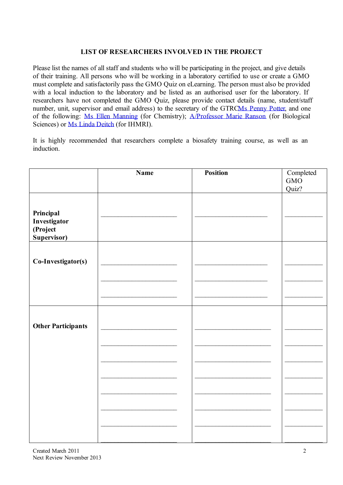## **LIST OF RESEARCHERS INVOLVED IN THE PROJECT**

Please list the names of all staff and students who will be participating in the project, and give details of their training. All persons who will be working in a laboratory certified to use or create a GMO must complete and satisfactorily pass the GMO Quiz on eLearning. The person must also be provided with a local induction to the laboratory and be listed as an authorised user for the laboratory. If researchers have not completed the GMO Quiz, please provide contact details (name, student/staff number, unit, supervisor and email address) to the secretary of the GTRCMs [Penny](mailto:pennyp@uow.edu.au) Potter, and one of the following: Ms Ellen [Manning](mailto:emanning@uow.edu.au) (for Chemistry); [A/Professor](mailto:mranson@uow.edu.au) Marie Ranson (for Biological Sciences) or Ms Linda [Deitch](mailto:linda_deitch@uow.edu.au) (for IHMRI).

It is highly recommended that researchers complete a biosafety training course, as well as an induction.

|                           | <b>Name</b> | <b>Position</b> | Completed |
|---------------------------|-------------|-----------------|-----------|
|                           |             |                 | GMO       |
|                           |             |                 | Quiz?     |
|                           |             |                 |           |
|                           |             |                 |           |
| Principal                 |             |                 |           |
| Investigator              |             |                 |           |
| (Project                  |             |                 |           |
| Supervisor)               |             |                 |           |
|                           |             |                 |           |
|                           |             |                 |           |
| Co-Investigator(s)        |             |                 |           |
|                           |             |                 |           |
|                           |             |                 |           |
|                           |             |                 |           |
|                           |             |                 |           |
|                           |             |                 |           |
|                           |             |                 |           |
|                           |             |                 |           |
| <b>Other Participants</b> |             |                 |           |
|                           |             |                 |           |
|                           |             |                 |           |
|                           |             |                 |           |
|                           |             |                 |           |
|                           |             |                 |           |
|                           |             |                 |           |
|                           |             |                 |           |
|                           |             |                 |           |
|                           |             |                 |           |
|                           |             |                 |           |
|                           |             |                 |           |
|                           |             |                 |           |
|                           |             |                 |           |
|                           |             |                 |           |
|                           |             |                 |           |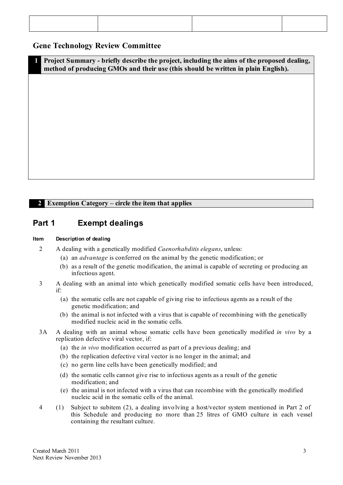### **Gene Technology Review Committee**

**1 Project Summary - briefly describe the project, including the aims of the proposed dealing, method of producing GMOs and their use (this should be written in plain English).**

#### **2 Exemption Category – circle the item that applies**

### **Part 1 Exempt dealings**

#### **Item Description of dealing**

- 2 A dealing with a genetically modified *Caenorhabditis elegans*, unless:
	- (a) an *advantage* is conferred on the animal by the genetic modification; or
	- (b) as a result of the genetic modification, the animal is capable of secreting or producing an infectious agent.
- 3 A dealing with an animal into which genetically modified somatic cells have been introduced, if:
	- (a) the somatic cells are not capable of giving rise to infectious agents as a result of the genetic modification; and
	- (b) the animal is not infected with a virus that is capable of recombining with the genetically modified nucleic acid in the somatic cells.
- 3A A dealing with an animal whose somatic cells have been genetically modified *in vivo* by a replication defective viral vector, if:
	- (a) the *in vivo* modification occurred as part of a previous dealing; and
	- (b) the replication defective viral vector is no longer in the animal; and
	- (c) no germ line cells have been genetically modified; and
	- (d) the somatic cells cannot give rise to infectious agents as a result of the genetic modification; and
	- (e) the animal is not infected with a virus that can recombine with the genetically modified nucleic acid in the somatic cells of the animal.
- 4 (1) Subject to subitem (2), a dealing invo lving a host/vector system mentioned in Part 2 of this Schedule and producing no more than 25 litres of GMO culture in each vessel containing the resultant culture.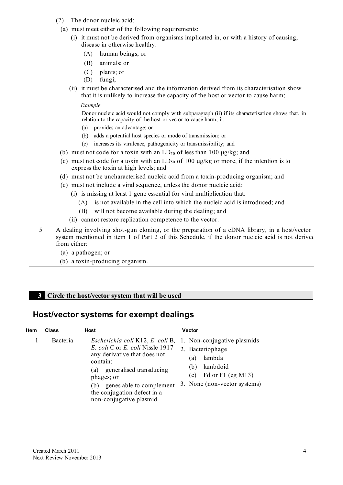- (2) The donor nucleic acid:
- (a) must meet either of the following requirements:
	- (i) it must not be derived from organisms implicated in, or with a history of causing, disease in otherwise healthy:
		- (A) human beings; or
		- (B) animals; or
		- (C) plants; or
		- (D) fungi;
	- (ii) it must be characterised and the information derived from its characterisation show that it is unlikely to increase the capacity of the host or vector to cause harm;

#### *Example*

Donor nucleic acid would not comply with subparagraph (ii) if its characterisation shows that, in relation to the capacity of the host or vector to cause harm, it:

- (a) provides an advantage; or
- (b) adds a potential host species or mode of transmission; or
- (c) increases its virulence, pathogenicity or transmissibility; and
- (b) must not code for a toxin with an  $LD_{50}$  of less than 100  $\mu$ g/kg; and
- (c) must not code for a toxin with an  $LD_{50}$  of 100  $\mu$ g/kg or more, if the intention is to express the toxin at high levels; and
- (d) must not be uncharacterised nucleic acid from a toxin-producing organism; and
- (e) must not include a viral sequence, unless the donor nucleic acid:
	- (i) is missing at least 1 gene essential for viral multiplication that:
		- (A) is not available in the cell into which the nucleic acid is introduced; and
		- (B) will not become available during the dealing; and
	- (ii) cannot restore replication competence to the vector.
- 5 A dealing involving shot-gun cloning, or the preparation of a cDNA library, in a host/vector system mentioned in item 1 of Part 2 of this Schedule, if the donor nucleic acid is not derived from either:
	- (a) a pathogen; or
	- (b) a toxin-producing organism.

#### **3 Circle the host/vector system that will be used**

## **Host/vector systems for exempt dealings**

| <b>Item</b> | <b>Class</b> | Host                                                                                                                                                                                                                                                                                                                         | <b>Vector</b>                                                                                |
|-------------|--------------|------------------------------------------------------------------------------------------------------------------------------------------------------------------------------------------------------------------------------------------------------------------------------------------------------------------------------|----------------------------------------------------------------------------------------------|
|             | Bacteria     | <i>Escherichia coli</i> K12, <i>E. coli</i> B, 1. Non-conjugative plasmids<br>E. coli C or E. coli Nissle 1917 $-2$ . Bacteriophage<br>any derivative that does not<br>contain:<br>generalised transducing<br>(a)<br>phages; or<br>genes able to complement<br>(b)<br>the conjugation defect in a<br>non-conjugative plasmid | lambda<br>(a)<br>lambdoid<br>(b)<br>Fd or F1 (eg M13)<br>(c)<br>3. None (non-vector systems) |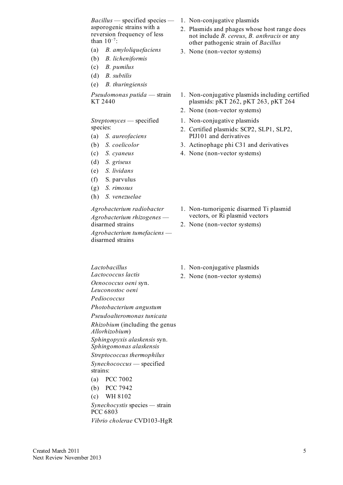*Bacillus* — specified species — 1. Non-conjugative plasmids asporogenic strains with a reversion frequency of less than  $10^{-7}$ :

- (a) *B. amyloliquefaciens*
- (b) *B. licheniformis*
- (c) *B. pumilus*
- (d) *B. subtilis*
- (e) *B. thuringiensis*

*Pseudomonas putida* — strain KT 2440

*Streptomyces* — specified species:

- (a) *S. aureofaciens*
- (b) *S. coelicolor*
- (c) *S. cyaneus*
- (d) *S. griseus*
- (e) *S. lividans*
- (f) S. parvulus
- (g) *S. rimosus*
- (h) *S. venezuelae*

*Agrobacterium radiobacter Agrobacterium rhizogenes* disarmed strains *Agrobacterium tumefaciens* —

disarmed strains

- 
- 2. Plasmids and phages whose host range does not include *B. cereus*, *B. anthracis* or any other pathogenic strain of *Bacillus*
- 3. None (non-vector systems)
- 1. Non-conjugative plasmids including certified plasmids: pKT 262, pKT 263, pKT 264
- 2. None (non-vector systems)
- 1. Non-conjugative plasmids
- 2. Certified plasmids: SCP2, SLP1, SLP2, PIJ101 and derivatives
- 3. Actinophage phi C31 and derivatives
- 4. None (non-vector systems)

- 1. Non-tumorigenic disarmed Ti plasmid vectors, or Ri plasmid vectors
- 2. None (non-vector systems)

*Lactobacillus Lactococcus lactis Oenococcus oeni* syn. *Leuconostoc oeni Pediococcus*

*Photobacterium angustum*

*Pseudoalteromonas tunicata*

*Rhizobium* (including the genus *Allorhizobium*)

*Sphingopyxis alaskensis* syn. *Sphingomonas alaskensis Streptococcus thermophilus*

*Synechococcus* — specified strains:

- (a) PCC 7002
- (b) PCC 7942
- (c) WH 8102

*Synechocystis* species *—* strain PCC 6803 *Vibrio cholerae* CVD103-HgR

- 1. Non-conjugative plasmids
- 2. None (non-vector systems)